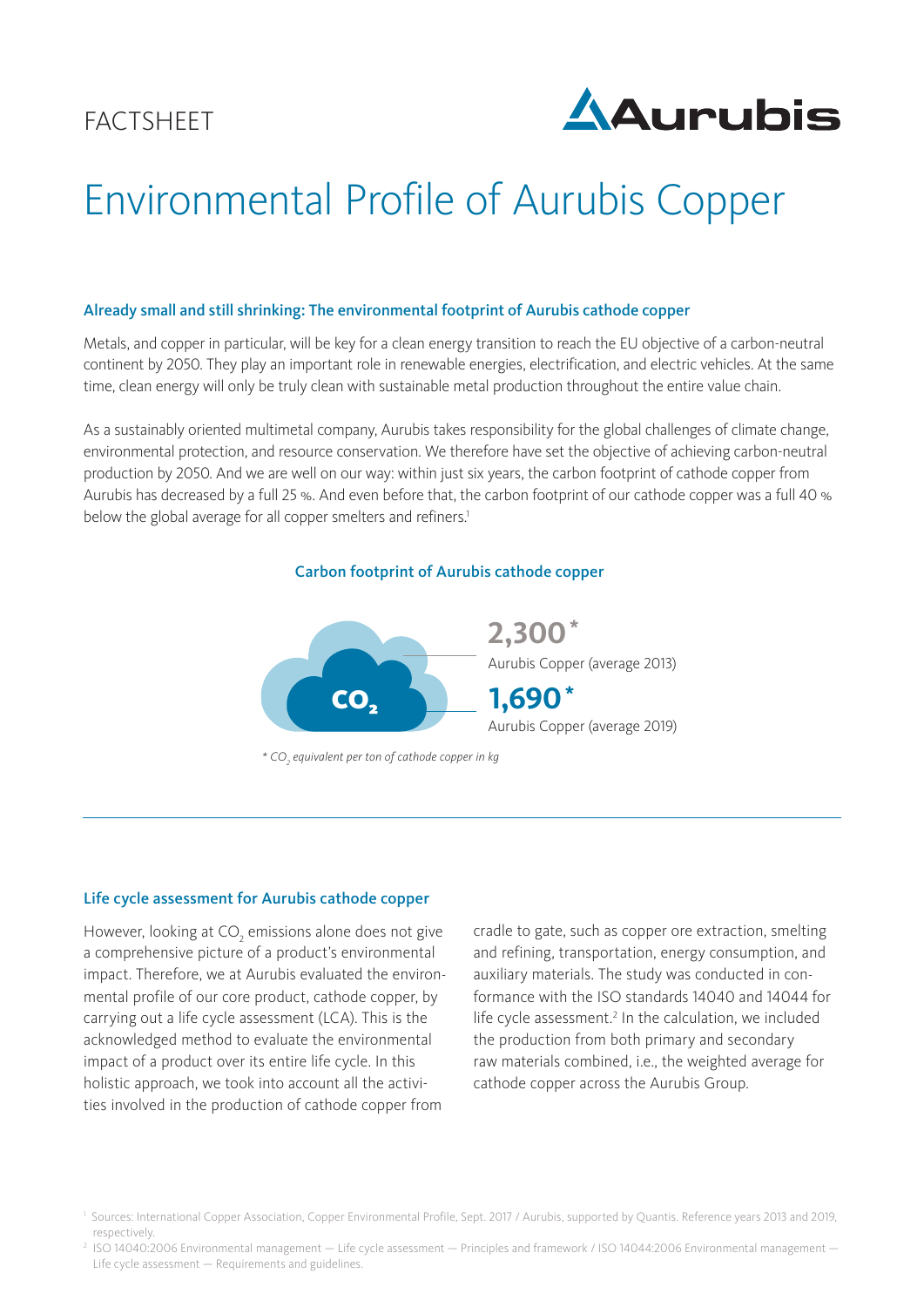

# Environmental Profile of Aurubis Copper

#### Already small and still shrinking: The environmental footprint of Aurubis cathode copper

Metals, and copper in particular, will be key for a clean energy transition to reach the EU objective of a carbon-neutral continent by 2050. They play an important role in renewable energies, electrification, and electric vehicles. At the same time, clean energy will only be truly clean with sustainable metal production throughout the entire value chain.

As a sustainably oriented multimetal company, Aurubis takes responsibility for the global challenges of climate change, environmental protection, and resource conservation. We therefore have set the objective of achieving carbon-neutral production by 2050. And we are well on our way: within just six years, the carbon footprint of cathode copper from Aurubis has decreased by a full 25 %. And even before that, the carbon footprint of our cathode copper was a full 40 % below the global average for all copper smelters and refiners.<sup>1</sup>





#### Life cycle assessment for Aurubis cathode copper

However, looking at  $\text{CO}_2$  emissions alone does not give a comprehensive picture of a product's environmental impact. Therefore, we at Aurubis evaluated the environmental profile of our core product, cathode copper, by carrying out a life cycle assessment (LCA). This is the acknowledged method to evaluate the environmental impact of a product over its entire life cycle. In this holistic approach, we took into account all the activities involved in the production of cathode copper from

cradle to gate, such as copper ore extraction, smelting and refining, transportation, energy consumption, and auxiliary materials. The study was conducted in conformance with the ISO standards 14040 and 14044 for life cycle assessment.<sup>2</sup> In the calculation, we included the production from both primary and secondary raw materials combined, i.e., the weighted average for cathode copper across the Aurubis Group.

<sup>&</sup>lt;sup>1</sup> Sources: International Copper Association, Copper Environmental Profile, Sept. 2017 / Aurubis, supported by Quantis. Reference years 2013 and 2019, respectively.

<sup>2</sup> ISO 14040:2006 Environmental management — Life cycle assessment — Principles and framework / ISO 14044:2006 Environmental management — Life cycle assessment — Requirements and guidelines.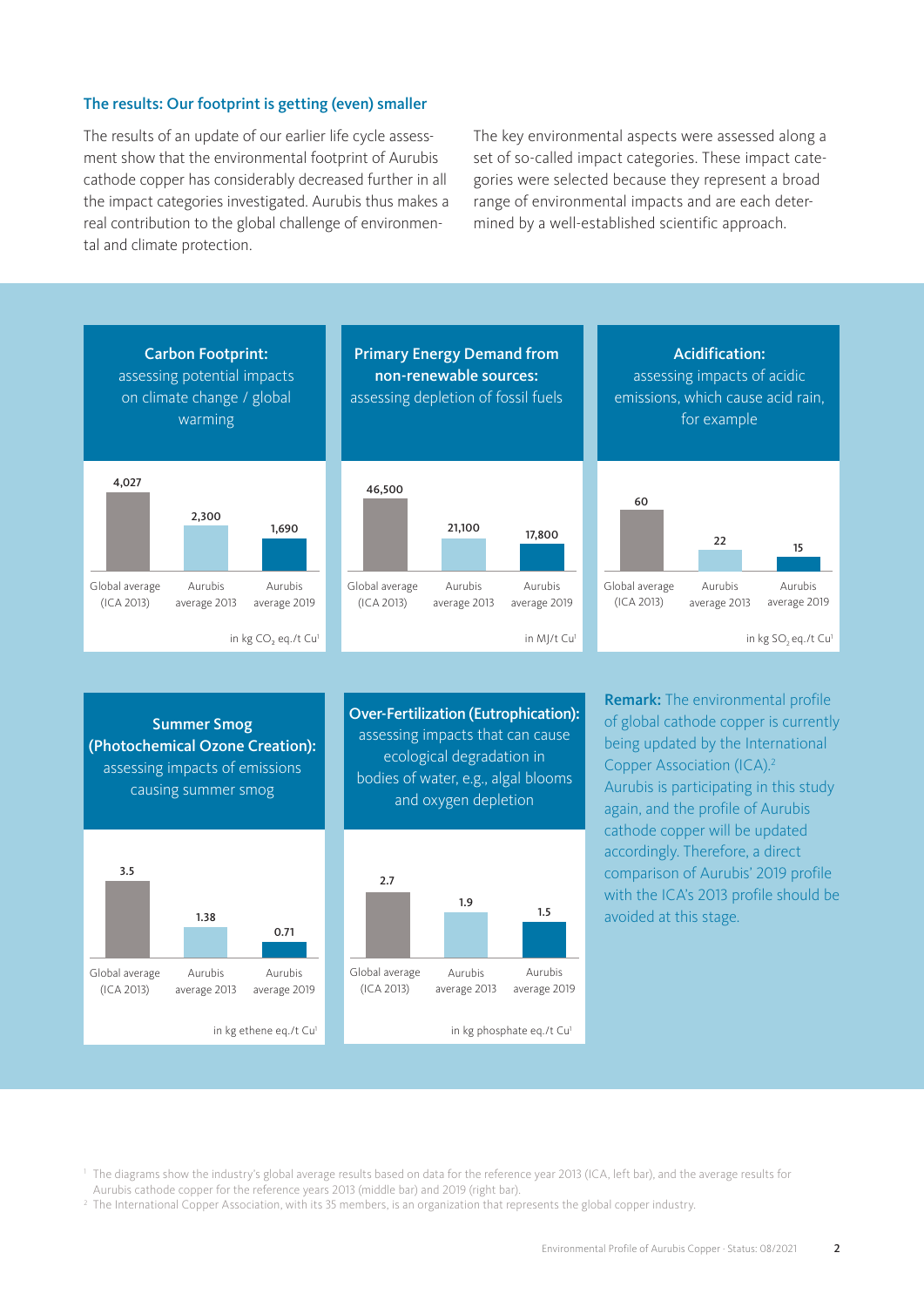#### The results: Our footprint is getting (even) smaller

The results of an update of our earlier life cycle assessment show that the environmental footprint of Aurubis cathode copper has considerably decreased further in all the impact categories investigated. Aurubis thus makes a real contribution to the global challenge of environmental and climate protection.

The key environmental aspects were assessed along a set of so-called impact categories. These impact categories were selected because they represent a broad range of environmental impacts and are each determined by a well-established scientific approach.



<sup>1</sup> The diagrams show the industry's global average results based on data for the reference year 2013 (ICA, left bar), and the average results for Aurubis cathode copper for the reference years 2013 (middle bar) and 2019 (right bar).

<sup>2</sup> The International Copper Association, with its 35 members, is an organization that represents the global copper industry.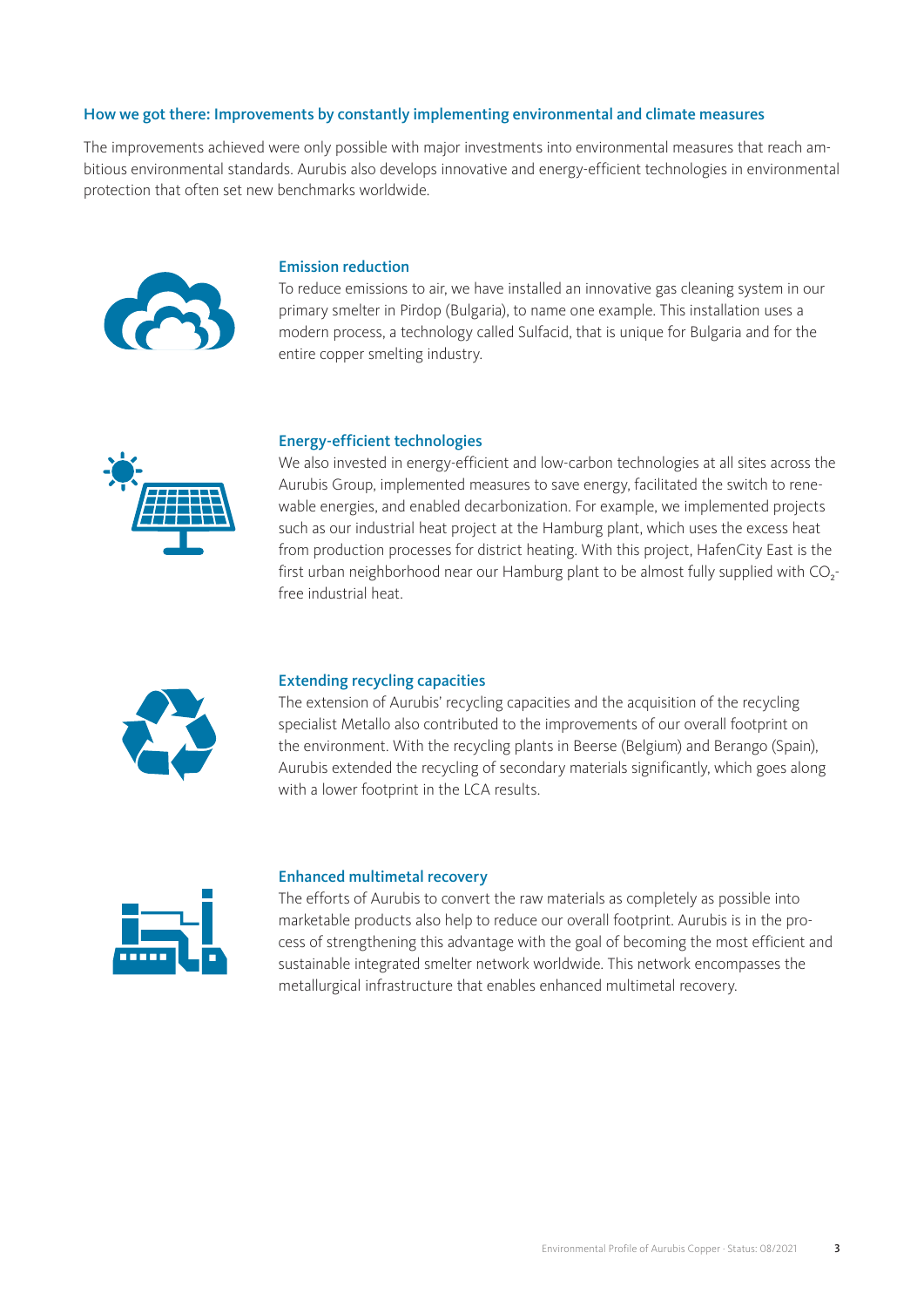### How we got there: Improvements by constantly implementing environmental and climate measures

The improvements achieved were only possible with major investments into environmental measures that reach ambitious environmental standards. Aurubis also develops innovative and energy-efficient technologies in environmental protection that often set new benchmarks worldwide.



#### Emission reduction

To reduce emissions to air, we have installed an innovative gas cleaning system in our primary smelter in Pirdop (Bulgaria), to name one example. This installation uses a modern process, a technology called Sulfacid, that is unique for Bulgaria and for the entire copper smelting industry.



#### Energy-efficient technologies

We also invested in energy-efficient and low-carbon technologies at all sites across the Aurubis Group, implemented measures to save energy, facilitated the switch to renewable energies, and enabled decarbonization. For example, we implemented projects such as our industrial heat project at the Hamburg plant, which uses the excess heat from production processes for district heating. With this project, HafenCity East is the first urban neighborhood near our Hamburg plant to be almost fully supplied with  $CO<sub>2</sub>$ free industrial heat.



#### Extending recycling capacities

The extension of Aurubis' recycling capacities and the acquisition of the recycling specialist Metallo also contributed to the improvements of our overall footprint on the environment. With the recycling plants in Beerse (Belgium) and Berango (Spain), Aurubis extended the recycling of secondary materials significantly, which goes along with a lower footprint in the LCA results.



#### Enhanced multimetal recovery

The efforts of Aurubis to convert the raw materials as completely as possible into marketable products also help to reduce our overall footprint. Aurubis is in the process of strengthening this advantage with the goal of becoming the most efficient and sustainable integrated smelter network worldwide. This network encompasses the metallurgical infrastructure that enables enhanced multimetal recovery.